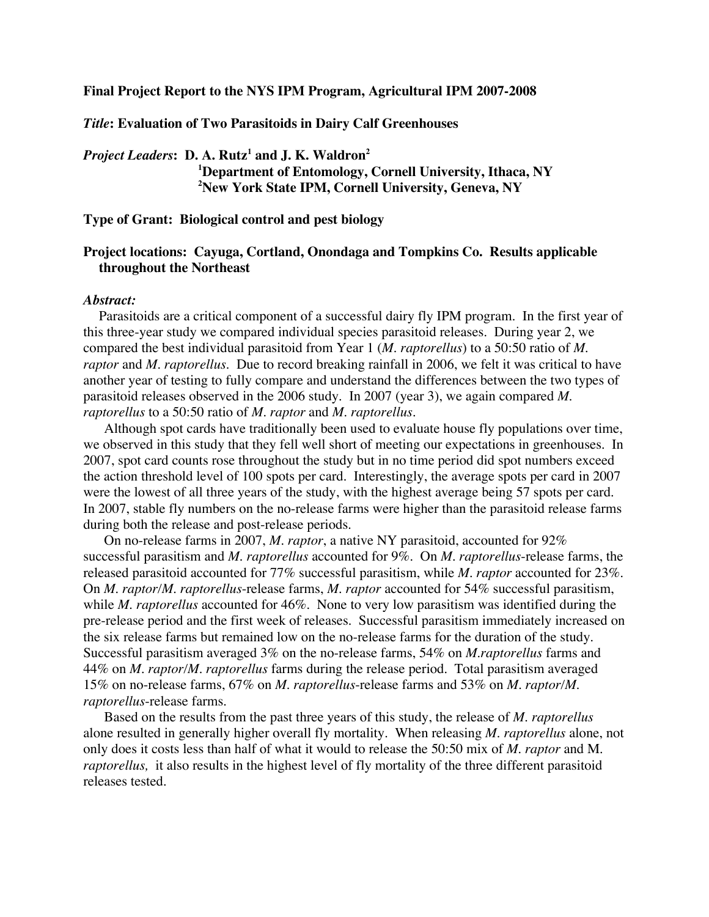**Final Project Report to the NYS IPM Program, Agricultural IPM 2007-2008**

*Title***: Evaluation of Two Parasitoids in Dairy Calf Greenhouses**

*Project Leaders***: D. A. Rutz<sup>1</sup> and J. K. Waldron2 1 Department of Entomology, Cornell University, Ithaca, NY 2 New York State IPM, Cornell University, Geneva, NY**

**Type of Grant: Biological control and pest biology**

# **Project locations: Cayuga, Cortland, Onondaga and Tompkins Co. Results applicable throughout the Northeast**

#### *Abstract:*

Parasitoids are a critical component of a successful dairy fly IPM program. In the first year of this three-year study we compared individual species parasitoid releases. During year 2, we compared the best individual parasitoid from Year 1 (*M. raptorellus*) to a 50:50 ratio of *M*. *raptor* and *M*. *raptorellus*. Due to record breaking rainfall in 2006, we felt it was critical to have another year of testing to fully compare and understand the differences between the two types of parasitoid releases observed in the 2006 study. In 2007 (year 3), we again compared *M. raptorellus* to a 50:50 ratio of *M. raptor* and *M. raptorellus*.

Although spot cards have traditionally been used to evaluate house fly populations over time, we observed in this study that they fell well short of meeting our expectations in greenhouses. In 2007, spot card counts rose throughout the study but in no time period did spot numbers exceed the action threshold level of 100 spots per card. Interestingly, the average spots per card in 2007 were the lowest of all three years of the study, with the highest average being 57 spots per card. In 2007, stable fly numbers on the no-release farms were higher than the parasitoid release farms during both the release and post-release periods.

On no-release farms in 2007, *M. raptor*, a native NY parasitoid, accounted for 92% successful parasitism and *M. raptorellus* accounted for 9%. On *M. raptorellus*-release farms, the released parasitoid accounted for 77% successful parasitism, while *M. raptor* accounted for 23%. On *M. raptor/M. raptorellus*-release farms, *M. raptor* accounted for 54% successful parasitism, while *M. raptorellus* accounted for 46%. None to very low parasitism was identified during the pre-release period and the first week of releases. Successful parasitism immediately increased on the six release farms but remained low on the no-release farms for the duration of the study. Successful parasitism averaged 3% on the no-release farms, 54% on *M.raptorellus* farms and 44% on *M. raptor/M. raptorellus* farms during the release period. Total parasitism averaged 15% on no-release farms, 67% on *M. raptorellus*-release farms and 53% on *M. raptor/M. raptorellus*-release farms.

Based on the results from the past three years of this study, the release of *M. raptorellus* alone resulted in generally higher overall fly mortality. When releasing *M. raptorellus* alone, not only does it costs less than half of what it would to release the 50:50 mix of *M. raptor* and M. *raptorellus,* it also results in the highest level of fly mortality of the three different parasitoid releases tested.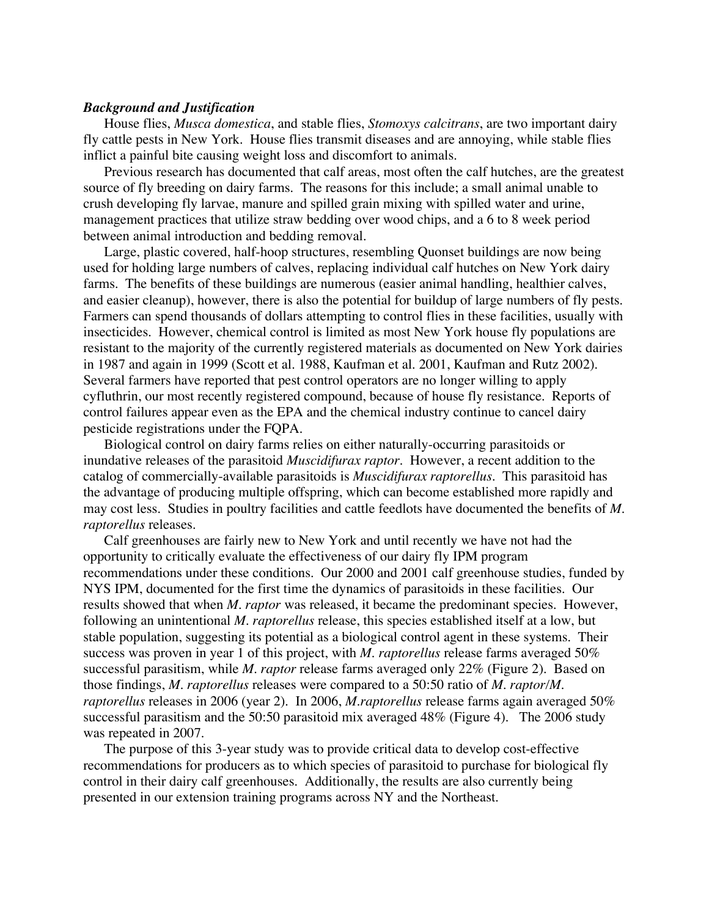#### *Background and Justification*

House flies, *Musca domestica*, and stable flies, *Stomoxys calcitrans*, are two important dairy fly cattle pests in New York. House flies transmit diseases and are annoying, while stable flies inflict a painful bite causing weight loss and discomfort to animals.

Previous research has documented that calf areas, most often the calf hutches, are the greatest source of fly breeding on dairy farms. The reasons for this include; a small animal unable to crush developing fly larvae, manure and spilled grain mixing with spilled water and urine, management practices that utilize straw bedding over wood chips, and a 6 to 8 week period between animal introduction and bedding removal.

Large, plastic covered, half-hoop structures, resembling Quonset buildings are now being used for holding large numbers of calves, replacing individual calf hutches on New York dairy farms. The benefits of these buildings are numerous (easier animal handling, healthier calves, and easier cleanup), however, there is also the potential for buildup of large numbers of fly pests. Farmers can spend thousands of dollars attempting to control flies in these facilities, usually with insecticides. However, chemical control is limited as most New York house fly populations are resistant to the majority of the currently registered materials as documented on New York dairies in 1987 and again in 1999 (Scott et al. 1988, Kaufman et al. 2001, Kaufman and Rutz 2002). Several farmers have reported that pest control operators are no longer willing to apply cyfluthrin, our most recently registered compound, because of house fly resistance. Reports of control failures appear even as the EPA and the chemical industry continue to cancel dairy pesticide registrations under the FQPA.

Biological control on dairy farms relies on either naturally-occurring parasitoids or inundative releases of the parasitoid *Muscidifurax raptor*. However, a recent addition to the catalog of commercially-available parasitoids is *Muscidifurax raptorellus*. This parasitoid has the advantage of producing multiple offspring, which can become established more rapidly and may cost less. Studies in poultry facilities and cattle feedlots have documented the benefits of *M. raptorellus* releases.

Calf greenhouses are fairly new to New York and until recently we have not had the opportunity to critically evaluate the effectiveness of our dairy fly IPM program recommendations under these conditions. Our 2000 and 2001 calf greenhouse studies, funded by NYS IPM, documented for the first time the dynamics of parasitoids in these facilities. Our results showed that when *M. raptor* was released, it became the predominant species. However, following an unintentional *M. raptorellus* release, this species established itself at a low, but stable population, suggesting its potential as a biological control agent in these systems. Their success was proven in year 1 of this project, with *M. raptorellus* release farms averaged 50% successful parasitism, while *M. raptor* release farms averaged only 22% (Figure 2). Based on those findings, *M. raptorellus* releases were compared to a 50:50 ratio of *M. raptor/M. raptorellus* releases in 2006 (year 2). In 2006, *M.raptorellus* release farms again averaged 50% successful parasitism and the 50:50 parasitoid mix averaged 48% (Figure 4). The 2006 study was repeated in 2007.

The purpose of this 3-year study was to provide critical data to develop cost-effective recommendations for producers as to which species of parasitoid to purchase for biological fly control in their dairy calf greenhouses. Additionally, the results are also currently being presented in our extension training programs across NY and the Northeast.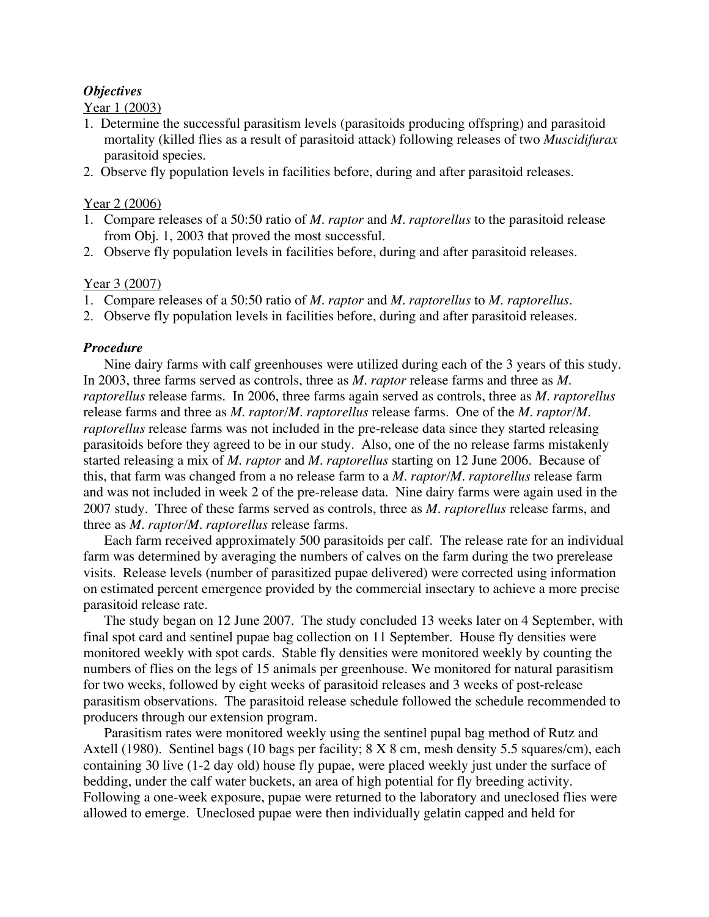# *Objectives*

Year 1 (2003)

- 1. Determine the successful parasitism levels (parasitoids producing offspring) and parasitoid mortality (killed flies as a result of parasitoid attack) following releases of two *Muscidifurax* parasitoid species.
- 2. Observe fly population levels in facilities before, during and after parasitoid releases.

# Year 2 (2006)

- 1. Compare releases of a 50:50 ratio of *M. raptor* and *M. raptorellus* to the parasitoid release from Obj. 1, 2003 that proved the most successful.
- 2. Observe fly population levels in facilities before, during and after parasitoid releases.

# Year 3 (2007)

- 1. Compare releases of a 50:50 ratio of *M. raptor* and *M. raptorellus* to *M. raptorellus*.
- 2. Observe fly population levels in facilities before, during and after parasitoid releases.

#### *Procedure*

Nine dairy farms with calf greenhouses were utilized during each of the 3 years of this study. In 2003, three farms served as controls, three as *M*. *raptor* release farms and three as *M*. *raptorellus* release farms. In 2006, three farms again served as controls, three as *M*. *raptorellus* release farms and three as *M*. *raptor/M. raptorellus* release farms. One of the *M. raptor/M. raptorellus* release farms was not included in the pre-release data since they started releasing parasitoids before they agreed to be in our study. Also, one of the no release farms mistakenly started releasing a mix of *M. raptor* and *M. raptorellus* starting on 12 June 2006. Because of this, that farm was changed from a no release farm to a *M. raptor/M. raptorellus* release farm and was not included in week 2 of the pre-release data. Nine dairy farms were again used in the 2007 study. Three of these farms served as controls, three as *M. raptorellus* release farms, and three as *M. raptor/M. raptorellus* release farms.

Each farm received approximately 500 parasitoids per calf. The release rate for an individual farm was determined by averaging the numbers of calves on the farm during the two prerelease visits. Release levels (number of parasitized pupae delivered) were corrected using information on estimated percent emergence provided by the commercial insectary to achieve a more precise parasitoid release rate.

The study began on 12 June 2007. The study concluded 13 weeks later on 4 September, with final spot card and sentinel pupae bag collection on 11 September. House fly densities were monitored weekly with spot cards. Stable fly densities were monitored weekly by counting the numbers of flies on the legs of 15 animals per greenhouse. We monitored for natural parasitism for two weeks, followed by eight weeks of parasitoid releases and 3 weeks of post-release parasitism observations. The parasitoid release schedule followed the schedule recommended to producers through our extension program.

Parasitism rates were monitored weekly using the sentinel pupal bag method of Rutz and Axtell (1980). Sentinel bags (10 bags per facility; 8 X 8 cm, mesh density 5.5 squares/cm), each containing 30 live (1-2 day old) house fly pupae, were placed weekly just under the surface of bedding, under the calf water buckets, an area of high potential for fly breeding activity. Following a one-week exposure, pupae were returned to the laboratory and uneclosed flies were allowed to emerge. Uneclosed pupae were then individually gelatin capped and held for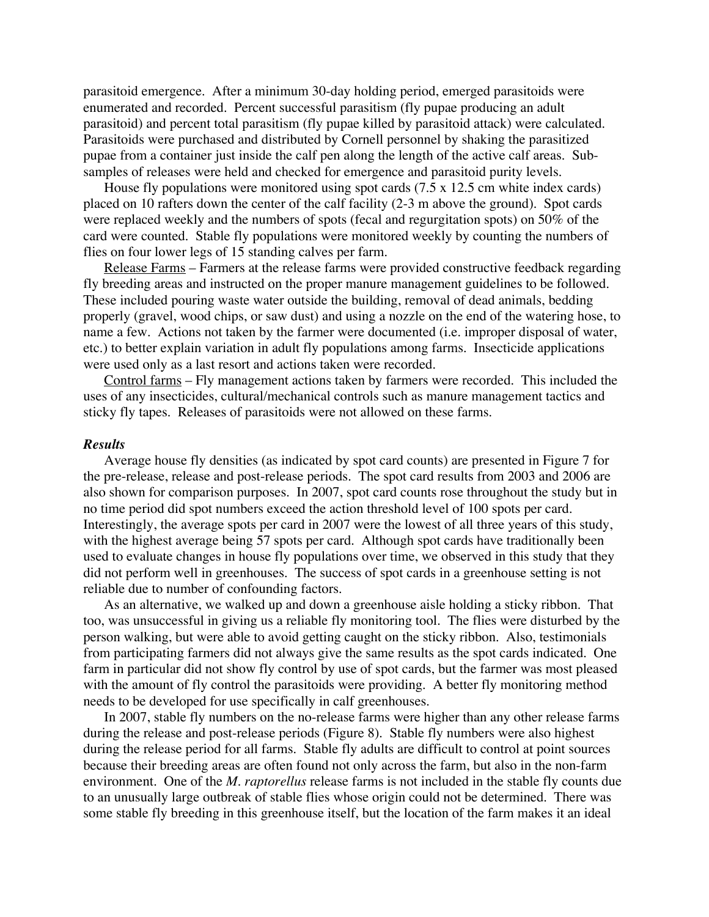parasitoid emergence. After a minimum 30-day holding period, emerged parasitoids were enumerated and recorded. Percent successful parasitism (fly pupae producing an adult parasitoid) and percent total parasitism (fly pupae killed by parasitoid attack) were calculated. Parasitoids were purchased and distributed by Cornell personnel by shaking the parasitized pupae from a container just inside the calf pen along the length of the active calf areas. Subsamples of releases were held and checked for emergence and parasitoid purity levels.

House fly populations were monitored using spot cards  $(7.5 \times 12.5 \text{ cm})$  white index cards) placed on 10 rafters down the center of the calf facility (2-3 m above the ground). Spot cards were replaced weekly and the numbers of spots (fecal and regurgitation spots) on 50% of the card were counted. Stable fly populations were monitored weekly by counting the numbers of flies on four lower legs of 15 standing calves per farm.

Release Farms – Farmers at the release farms were provided constructive feedback regarding fly breeding areas and instructed on the proper manure management guidelines to be followed. These included pouring waste water outside the building, removal of dead animals, bedding properly (gravel, wood chips, or saw dust) and using a nozzle on the end of the watering hose, to name a few. Actions not taken by the farmer were documented (i.e. improper disposal of water, etc.) to better explain variation in adult fly populations among farms. Insecticide applications were used only as a last resort and actions taken were recorded.

Control farms – Fly management actions taken by farmers were recorded. This included the uses of any insecticides, cultural/mechanical controls such as manure management tactics and sticky fly tapes. Releases of parasitoids were not allowed on these farms.

#### *Results*

Average house fly densities (as indicated by spot card counts) are presented in Figure 7 for the pre-release, release and post-release periods. The spot card results from 2003 and 2006 are also shown for comparison purposes. In 2007, spot card counts rose throughout the study but in no time period did spot numbers exceed the action threshold level of 100 spots per card. Interestingly, the average spots per card in 2007 were the lowest of all three years of this study, with the highest average being 57 spots per card. Although spot cards have traditionally been used to evaluate changes in house fly populations over time, we observed in this study that they did not perform well in greenhouses. The success of spot cards in a greenhouse setting is not reliable due to number of confounding factors.

As an alternative, we walked up and down a greenhouse aisle holding a sticky ribbon. That too, was unsuccessful in giving us a reliable fly monitoring tool. The flies were disturbed by the person walking, but were able to avoid getting caught on the sticky ribbon. Also, testimonials from participating farmers did not always give the same results as the spot cards indicated. One farm in particular did not show fly control by use of spot cards, but the farmer was most pleased with the amount of fly control the parasitoids were providing. A better fly monitoring method needs to be developed for use specifically in calf greenhouses.

In 2007, stable fly numbers on the no-release farms were higher than any other release farms during the release and post-release periods (Figure 8). Stable fly numbers were also highest during the release period for all farms. Stable fly adults are difficult to control at point sources because their breeding areas are often found not only across the farm, but also in the non-farm environment. One of the *M. raptorellus* release farms is not included in the stable fly counts due to an unusually large outbreak of stable flies whose origin could not be determined. There was some stable fly breeding in this greenhouse itself, but the location of the farm makes it an ideal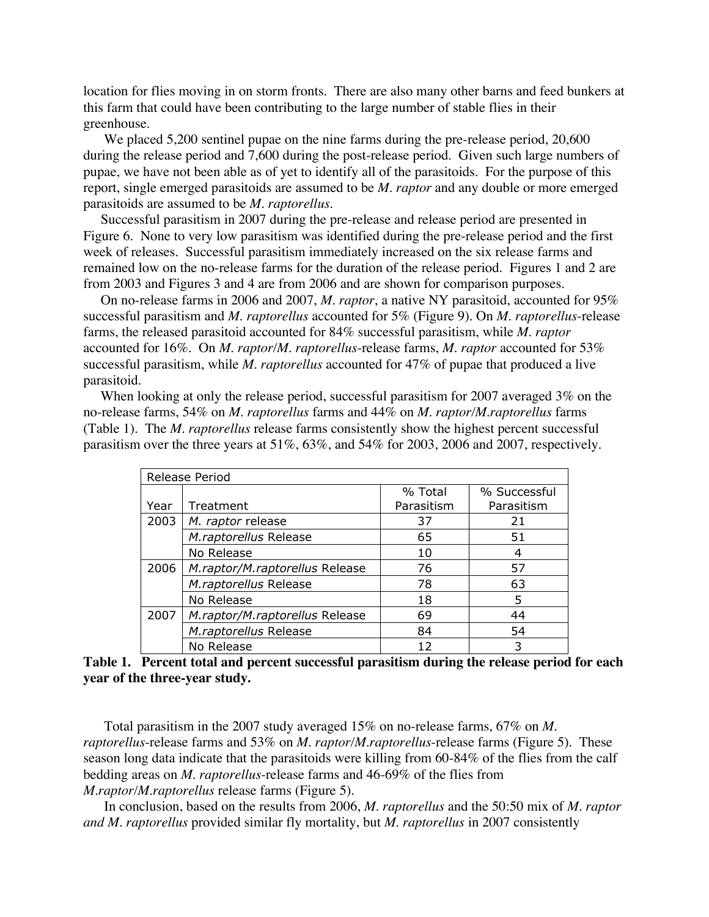location for flies moving in on storm fronts. There are also many other barns and feed bunkers at this farm that could have been contributing to the large number of stable flies in their greenhouse.

We placed 5,200 sentinel pupae on the nine farms during the pre-release period, 20,600 during the release period and 7,600 during the post-release period. Given such large numbers of pupae, we have not been able as of yet to identify all of the parasitoids. For the purpose of this report, single emerged parasitoids are assumed to be *M. raptor* and any double or more emerged parasitoids are assumed to be *M. raptorellus*.

 Successful parasitism in 2007 during the pre-release and release period are presented in Figure 6. None to very low parasitism was identified during the pre-release period and the first week of releases. Successful parasitism immediately increased on the six release farms and remained low on the no-release farms for the duration of the release period. Figures 1 and 2 are from 2003 and Figures 3 and 4 are from 2006 and are shown for comparison purposes.

 On no-release farms in 2006 and 2007, *M. raptor*, a native NY parasitoid, accounted for 95% successful parasitism and *M. raptorellus* accounted for 5% (Figure 9). On *M. raptorellus*-release farms, the released parasitoid accounted for 84% successful parasitism, while *M. raptor* accounted for 16%. On *M. raptor/M. raptorellus*-release farms, *M. raptor* accounted for 53% successful parasitism, while *M. raptorellus* accounted for 47% of pupae that produced a live parasitoid.

 When looking at only the release period, successful parasitism for 2007 averaged 3% on the no-release farms, 54% on *M. raptorellus* farms and 44% on *M. raptor/M.raptorellus* farms (Table 1). The *M. raptorellus* release farms consistently show the highest percent successful parasitism over the three years at 51%, 63%, and 54% for 2003, 2006 and 2007, respectively.

| Release Period |                                |            |              |
|----------------|--------------------------------|------------|--------------|
|                |                                | % Total    | % Successful |
| Year           | Treatment                      | Parasitism | Parasitism   |
| 2003           | M. raptor release              | 37         | 21           |
|                | M.raptorellus Release          | 65         | 51           |
|                | No Release                     | 10         | 4            |
| 2006           | M.raptor/M.raptorellus Release | 76         | 57           |
|                | M.raptorellus Release          | 78         | 63           |
|                | No Release                     | 18         | 5            |
| 2007           | M.raptor/M.raptorellus Release | 69         | 44           |
|                | M.raptorellus Release          | 84         | 54           |
|                | No Release                     | 12         |              |

**Table 1. Percent total and percent successful parasitism during the release period for each year of the three-year study.**

Total parasitism in the 2007 study averaged 15% on no-release farms, 67% on *M. raptorellus*-release farms and 53% on *M. raptor/M.raptorellus*-release farms (Figure 5). These season long data indicate that the parasitoids were killing from 60-84% of the flies from the calf bedding areas on *M. raptorellus*-release farms and 46-69% of the flies from *M.raptor/M.raptorellus* release farms (Figure 5).

In conclusion, based on the results from 2006, *M. raptorellus* and the 50:50 mix of *M. raptor and M. raptorellus* provided similar fly mortality, but *M. raptorellus* in 2007 consistently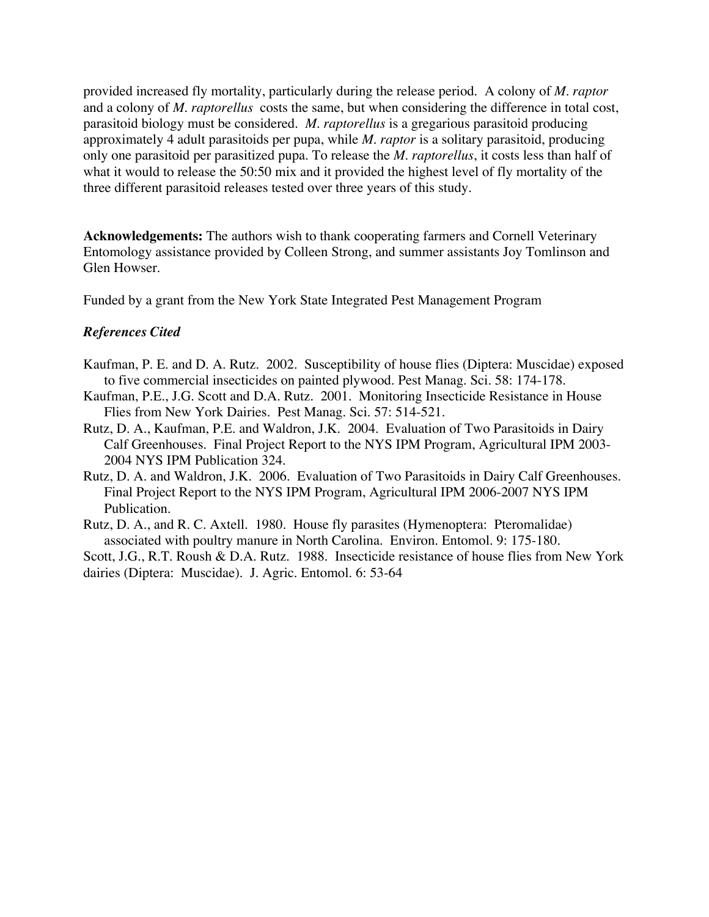provided increased fly mortality, particularly during the release period. A colony of *M. raptor* and a colony of *M. raptorellus* costs the same, but when considering the difference in total cost, parasitoid biology must be considered. *M. raptorellus* is a gregarious parasitoid producing approximately 4 adult parasitoids per pupa, while *M. raptor* is a solitary parasitoid, producing only one parasitoid per parasitized pupa. To release the *M. raptorellus*, it costs less than half of what it would to release the 50:50 mix and it provided the highest level of fly mortality of the three different parasitoid releases tested over three years of this study.

**Acknowledgements:** The authors wish to thank cooperating farmers and Cornell Veterinary Entomology assistance provided by Colleen Strong, and summer assistants Joy Tomlinson and Glen Howser.

Funded by a grant from the New York State Integrated Pest Management Program

# *References Cited*

- Kaufman, P. E. and D. A. Rutz. 2002. Susceptibility of house flies (Diptera: Muscidae) exposed to five commercial insecticides on painted plywood. Pest Manag. Sci. 58: 174-178.
- Kaufman, P.E., J.G. Scott and D.A. Rutz. 2001. Monitoring Insecticide Resistance in House Flies from New York Dairies. Pest Manag. Sci. 57: 514-521.
- Rutz, D. A., Kaufman, P.E. and Waldron, J.K. 2004. Evaluation of Two Parasitoids in Dairy Calf Greenhouses. Final Project Report to the NYS IPM Program, Agricultural IPM 2003- 2004 NYS IPM Publication 324.
- Rutz, D. A. and Waldron, J.K. 2006. Evaluation of Two Parasitoids in Dairy Calf Greenhouses. Final Project Report to the NYS IPM Program, Agricultural IPM 2006-2007 NYS IPM Publication.
- Rutz, D. A., and R. C. Axtell. 1980. House fly parasites (Hymenoptera: Pteromalidae) associated with poultry manure in North Carolina. Environ. Entomol. 9: 175-180.

Scott, J.G., R.T. Roush & D.A. Rutz. 1988. Insecticide resistance of house flies from New York dairies (Diptera: Muscidae). J. Agric. Entomol. 6: 53-64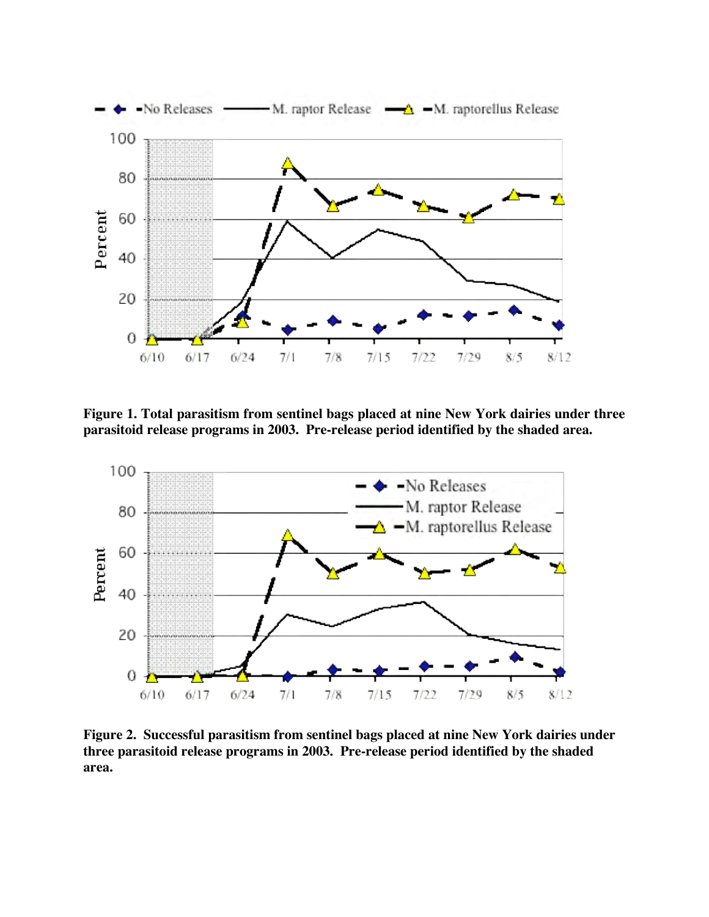

**Figure 1. Total parasitism from sentinel bags placed at nine New York dairies under three parasitoid release programs in 2003. Pre-release period identified by the shaded area.**



**Figure 2. Successful parasitism from sentinel bags placed at nine New York dairies under three parasitoid release programs in 2003. Pre-release period identified by the shaded area.**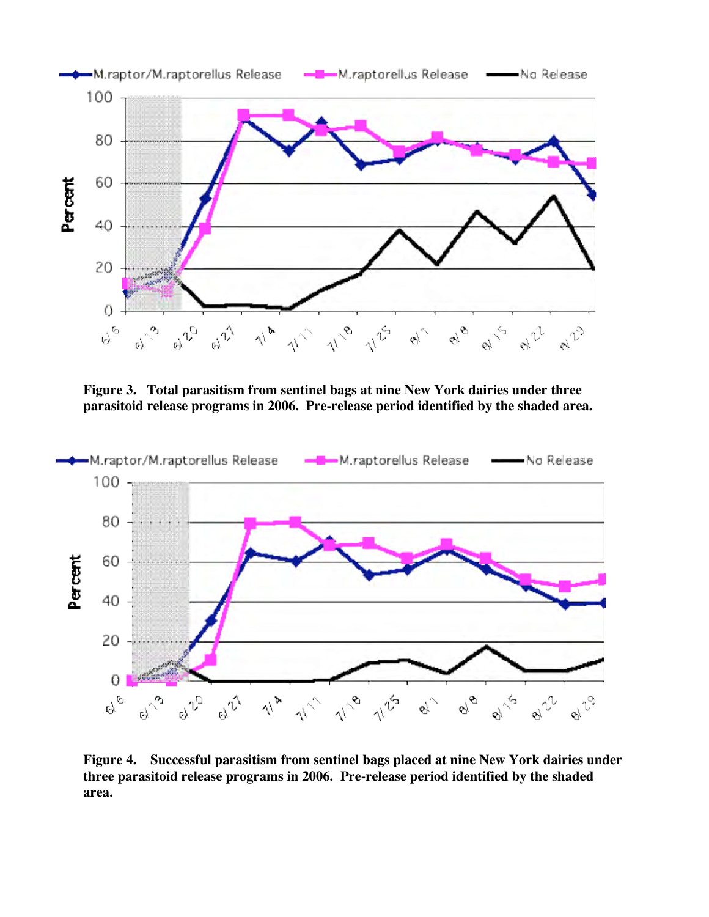

**Figure 3. Total parasitism from sentinel bags at nine New York dairies under three parasitoid release programs in 2006. Pre-release period identified by the shaded area.**



**Figure 4. Successful parasitism from sentinel bags placed at nine New York dairies under three parasitoid release programs in 2006. Pre-release period identified by the shaded area.**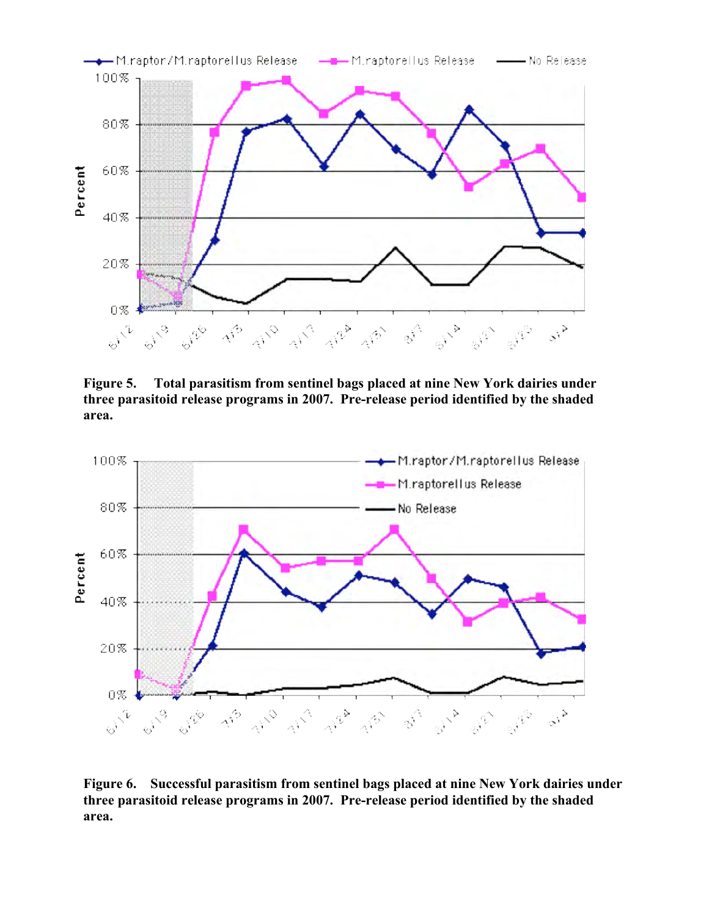

Figure 5. Total parasitism from sentinel bags placed at nine New York dairies under three parasitoid release programs in 2007. Pre-release period identified by the shaded area.



Figure 6. Successful parasitism from sentinel bags placed at nine New York dairies under three parasitoid release programs in 2007. Pre-release period identified by the shaded area.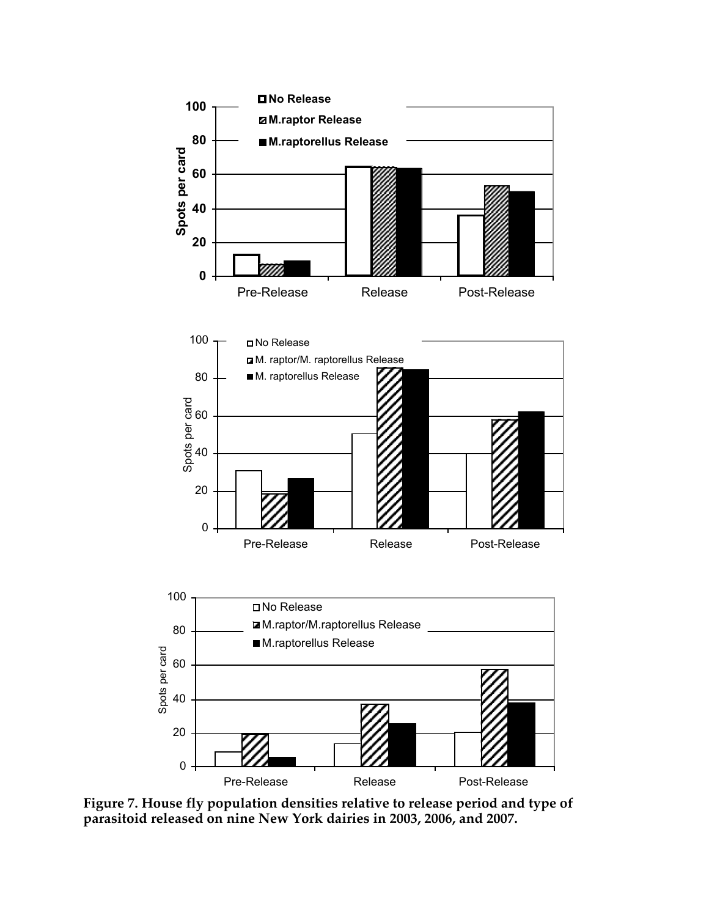

**Figure 7. House fly population densities relative to release period and type of parasitoid released on nine New York dairies in 2003, 2006, and 2007.**